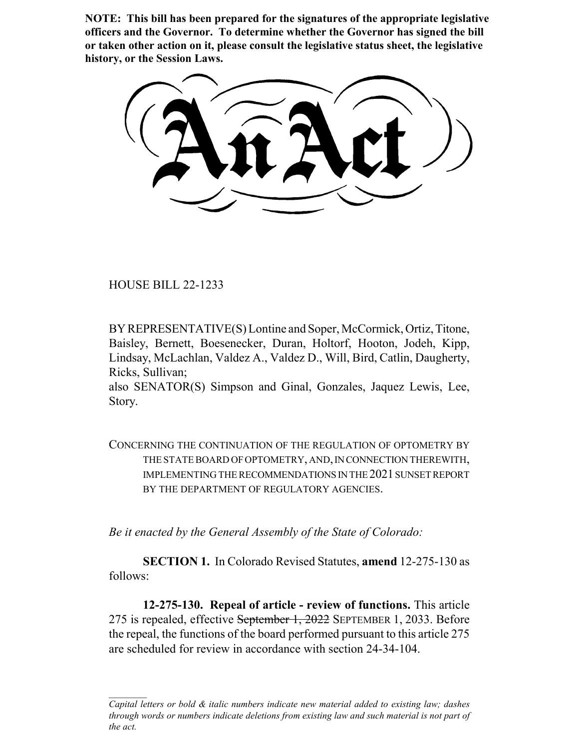**NOTE: This bill has been prepared for the signatures of the appropriate legislative officers and the Governor. To determine whether the Governor has signed the bill or taken other action on it, please consult the legislative status sheet, the legislative history, or the Session Laws.**

HOUSE BILL 22-1233

BY REPRESENTATIVE(S) Lontine and Soper, McCormick, Ortiz, Titone, Baisley, Bernett, Boesenecker, Duran, Holtorf, Hooton, Jodeh, Kipp, Lindsay, McLachlan, Valdez A., Valdez D., Will, Bird, Catlin, Daugherty, Ricks, Sullivan;

also SENATOR(S) Simpson and Ginal, Gonzales, Jaquez Lewis, Lee, Story.

CONCERNING THE CONTINUATION OF THE REGULATION OF OPTOMETRY BY THE STATE BOARD OF OPTOMETRY, AND, IN CONNECTION THEREWITH, IMPLEMENTING THE RECOMMENDATIONS IN THE 2021 SUNSET REPORT BY THE DEPARTMENT OF REGULATORY AGENCIES.

*Be it enacted by the General Assembly of the State of Colorado:*

**SECTION 1.** In Colorado Revised Statutes, **amend** 12-275-130 as follows:

**12-275-130. Repeal of article - review of functions.** This article 275 is repealed, effective September 1, 2022 SEPTEMBER 1, 2033. Before the repeal, the functions of the board performed pursuant to this article 275 are scheduled for review in accordance with section 24-34-104.

*Capital letters or bold & italic numbers indicate new material added to existing law; dashes through words or numbers indicate deletions from existing law and such material is not part of the act.*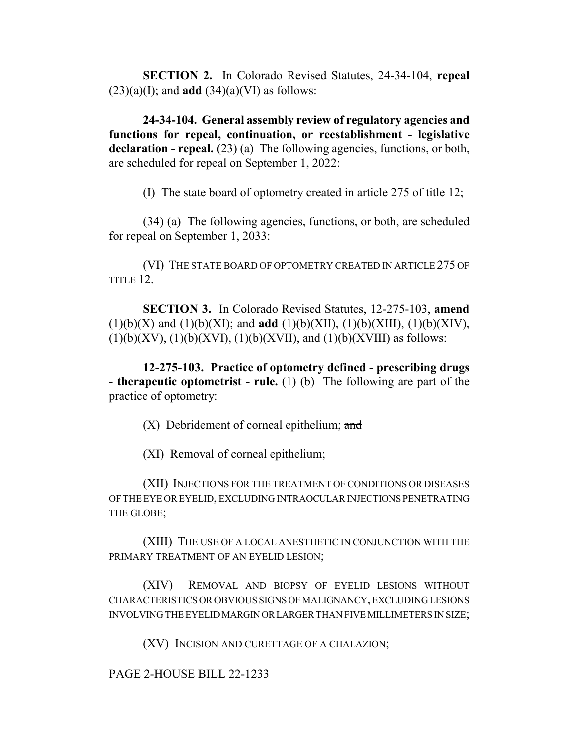**SECTION 2.** In Colorado Revised Statutes, 24-34-104, **repeal**  $(23)(a)(I)$ ; and **add**  $(34)(a)(VI)$  as follows:

**24-34-104. General assembly review of regulatory agencies and functions for repeal, continuation, or reestablishment - legislative** declaration - repeal. (23) (a) The following agencies, functions, or both, are scheduled for repeal on September 1, 2022:

(I) The state board of optometry created in article 275 of title 12;

(34) (a) The following agencies, functions, or both, are scheduled for repeal on September 1, 2033:

(VI) THE STATE BOARD OF OPTOMETRY CREATED IN ARTICLE 275 OF TITLE 12.

**SECTION 3.** In Colorado Revised Statutes, 12-275-103, **amend** (1)(b)(X) and (1)(b)(XI); and **add** (1)(b)(XII), (1)(b)(XIII), (1)(b)(XIV),  $(1)(b)(XV), (1)(b)(XVI), (1)(b)(XVII), and (1)(b)(XVIII)$  as follows:

**12-275-103. Practice of optometry defined - prescribing drugs - therapeutic optometrist - rule.** (1) (b) The following are part of the practice of optometry:

 $(X)$  Debridement of corneal epithelium; and

(XI) Removal of corneal epithelium;

(XII) INJECTIONS FOR THE TREATMENT OF CONDITIONS OR DISEASES OF THE EYE OR EYELID, EXCLUDING INTRAOCULAR INJECTIONS PENETRATING THE GLOBE;

(XIII) THE USE OF A LOCAL ANESTHETIC IN CONJUNCTION WITH THE PRIMARY TREATMENT OF AN EYELID LESION;

(XIV) REMOVAL AND BIOPSY OF EYELID LESIONS WITHOUT CHARACTERISTICS OR OBVIOUS SIGNS OF MALIGNANCY, EXCLUDING LESIONS INVOLVING THE EYELID MARGIN OR LARGER THAN FIVE MILLIMETERS IN SIZE;

(XV) INCISION AND CURETTAGE OF A CHALAZION;

PAGE 2-HOUSE BILL 22-1233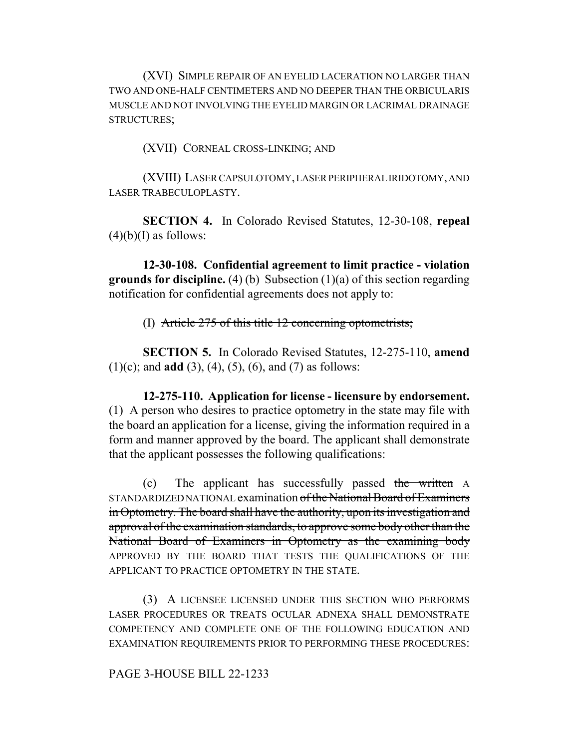(XVI) SIMPLE REPAIR OF AN EYELID LACERATION NO LARGER THAN TWO AND ONE-HALF CENTIMETERS AND NO DEEPER THAN THE ORBICULARIS MUSCLE AND NOT INVOLVING THE EYELID MARGIN OR LACRIMAL DRAINAGE STRUCTURES;

(XVII) CORNEAL CROSS-LINKING; AND

(XVIII) LASER CAPSULOTOMY, LASER PERIPHERAL IRIDOTOMY, AND LASER TRABECULOPLASTY.

**SECTION 4.** In Colorado Revised Statutes, 12-30-108, **repeal**  $(4)(b)(I)$  as follows:

**12-30-108. Confidential agreement to limit practice - violation grounds for discipline.** (4) (b) Subsection (1)(a) of this section regarding notification for confidential agreements does not apply to:

(I) Article 275 of this title 12 concerning optometrists;

**SECTION 5.** In Colorado Revised Statutes, 12-275-110, **amend** (1)(c); and **add** (3), (4), (5), (6), and (7) as follows:

**12-275-110. Application for license - licensure by endorsement.** (1) A person who desires to practice optometry in the state may file with the board an application for a license, giving the information required in a form and manner approved by the board. The applicant shall demonstrate that the applicant possesses the following qualifications:

(c) The applicant has successfully passed the written A STANDARDIZED NATIONAL examination of the National Board of Examiners in Optometry. The board shall have the authority, upon its investigation and approval of the examination standards, to approve some body other than the National Board of Examiners in Optometry as the examining body APPROVED BY THE BOARD THAT TESTS THE QUALIFICATIONS OF THE APPLICANT TO PRACTICE OPTOMETRY IN THE STATE.

(3) A LICENSEE LICENSED UNDER THIS SECTION WHO PERFORMS LASER PROCEDURES OR TREATS OCULAR ADNEXA SHALL DEMONSTRATE COMPETENCY AND COMPLETE ONE OF THE FOLLOWING EDUCATION AND EXAMINATION REQUIREMENTS PRIOR TO PERFORMING THESE PROCEDURES:

## PAGE 3-HOUSE BILL 22-1233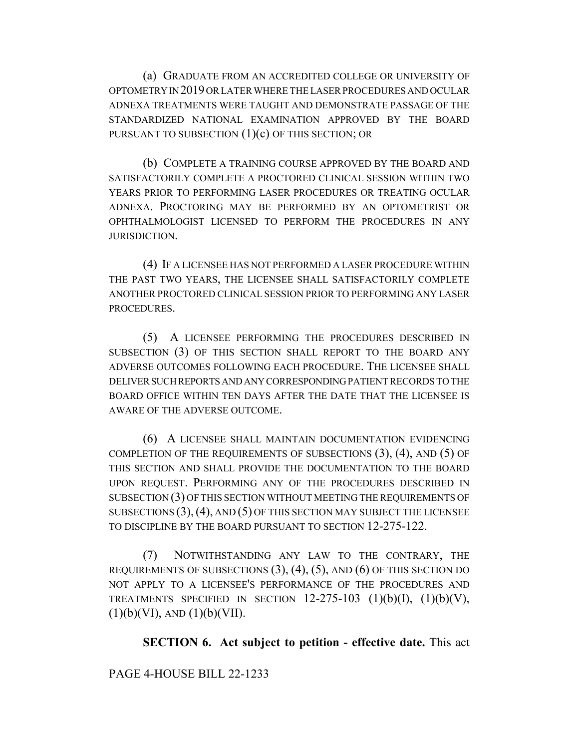(a) GRADUATE FROM AN ACCREDITED COLLEGE OR UNIVERSITY OF OPTOMETRY IN 2019 OR LATER WHERE THE LASER PROCEDURES AND OCULAR ADNEXA TREATMENTS WERE TAUGHT AND DEMONSTRATE PASSAGE OF THE STANDARDIZED NATIONAL EXAMINATION APPROVED BY THE BOARD PURSUANT TO SUBSECTION  $(1)(c)$  OF THIS SECTION; OR

(b) COMPLETE A TRAINING COURSE APPROVED BY THE BOARD AND SATISFACTORILY COMPLETE A PROCTORED CLINICAL SESSION WITHIN TWO YEARS PRIOR TO PERFORMING LASER PROCEDURES OR TREATING OCULAR ADNEXA. PROCTORING MAY BE PERFORMED BY AN OPTOMETRIST OR OPHTHALMOLOGIST LICENSED TO PERFORM THE PROCEDURES IN ANY JURISDICTION.

(4) IF A LICENSEE HAS NOT PERFORMED A LASER PROCEDURE WITHIN THE PAST TWO YEARS, THE LICENSEE SHALL SATISFACTORILY COMPLETE ANOTHER PROCTORED CLINICAL SESSION PRIOR TO PERFORMING ANY LASER PROCEDURES.

(5) A LICENSEE PERFORMING THE PROCEDURES DESCRIBED IN SUBSECTION (3) OF THIS SECTION SHALL REPORT TO THE BOARD ANY ADVERSE OUTCOMES FOLLOWING EACH PROCEDURE. THE LICENSEE SHALL DELIVER SUCH REPORTS AND ANY CORRESPONDING PATIENT RECORDS TO THE BOARD OFFICE WITHIN TEN DAYS AFTER THE DATE THAT THE LICENSEE IS AWARE OF THE ADVERSE OUTCOME.

(6) A LICENSEE SHALL MAINTAIN DOCUMENTATION EVIDENCING COMPLETION OF THE REQUIREMENTS OF SUBSECTIONS (3), (4), AND (5) OF THIS SECTION AND SHALL PROVIDE THE DOCUMENTATION TO THE BOARD UPON REQUEST. PERFORMING ANY OF THE PROCEDURES DESCRIBED IN SUBSECTION (3) OF THIS SECTION WITHOUT MEETING THE REQUIREMENTS OF SUBSECTIONS  $(3)$ ,  $(4)$ , AND  $(5)$  OF THIS SECTION MAY SUBJECT THE LICENSEE TO DISCIPLINE BY THE BOARD PURSUANT TO SECTION 12-275-122.

(7) NOTWITHSTANDING ANY LAW TO THE CONTRARY, THE REQUIREMENTS OF SUBSECTIONS  $(3)$ ,  $(4)$ ,  $(5)$ , AND  $(6)$  OF THIS SECTION DO NOT APPLY TO A LICENSEE'S PERFORMANCE OF THE PROCEDURES AND TREATMENTS SPECIFIED IN SECTION  $12-275-103$   $(1)(b)(I), (1)(b)(V),$  $(1)(b)(VI)$ , AND  $(1)(b)(VII)$ .

**SECTION 6. Act subject to petition - effective date.** This act

PAGE 4-HOUSE BILL 22-1233